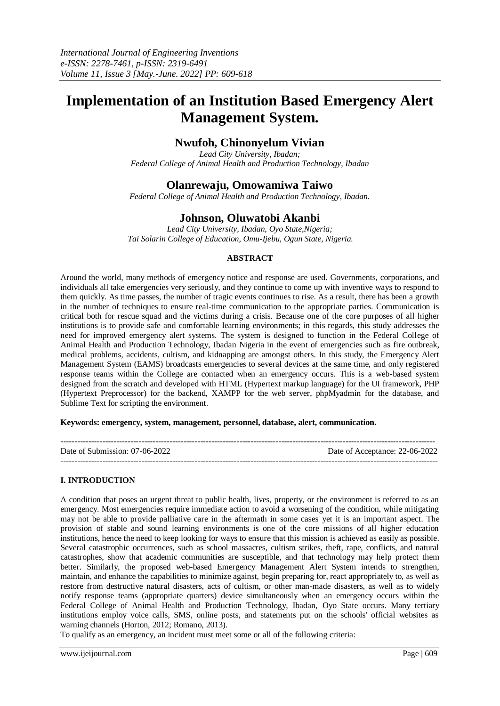# **Implementation of an Institution Based Emergency Alert Management System.**

# **Nwufoh, Chinonyelum Vivian**

*Lead City University, Ibadan; Federal College of Animal Health and Production Technology, Ibadan*

# **Olanrewaju, Omowamiwa Taiwo**

*Federal College of Animal Health and Production Technology, Ibadan.*

# **Johnson, Oluwatobi Akanbi**

*Lead City University, Ibadan, Oyo State,Nigeria; Tai Solarin College of Education, Omu-Ijebu, Ogun State, Nigeria.*

# **ABSTRACT**

Around the world, many methods of emergency notice and response are used. Governments, corporations, and individuals all take emergencies very seriously, and they continue to come up with inventive ways to respond to them quickly. As time passes, the number of tragic events continues to rise. As a result, there has been a growth in the number of techniques to ensure real-time communication to the appropriate parties. Communication is critical both for rescue squad and the victims during a crisis. Because one of the core purposes of all higher institutions is to provide safe and comfortable learning environments; in this regards, this study addresses the need for improved emergency alert systems. The system is designed to function in the Federal College of Animal Health and Production Technology, Ibadan Nigeria in the event of emergencies such as fire outbreak, medical problems, accidents, cultism, and kidnapping are amongst others. In this study, the Emergency Alert Management System (EAMS) broadcasts emergencies to several devices at the same time, and only registered response teams within the College are contacted when an emergency occurs. This is a web-based system designed from the scratch and developed with HTML (Hypertext markup language) for the UI framework, PHP (Hypertext Preprocessor) for the backend, XAMPP for the web server, phpMyadmin for the database, and Sublime Text for scripting the environment.

### **Keywords: emergency, system, management, personnel, database, alert, communication.**

| Date of Submission: 07-06-2022 | Date of Acceptance: 22-06-2022 |
|--------------------------------|--------------------------------|
|                                |                                |

# **I. INTRODUCTION**

A condition that poses an urgent threat to public health, lives, property, or the environment is referred to as an emergency. Most emergencies require immediate action to avoid a worsening of the condition, while mitigating may not be able to provide palliative care in the aftermath in some cases yet it is an important aspect. The provision of stable and sound learning environments is one of the core missions of all higher education institutions, hence the need to keep looking for ways to ensure that this mission is achieved as easily as possible. Several catastrophic occurrences, such as school massacres, cultism strikes, theft, rape, conflicts, and natural catastrophes, show that academic communities are susceptible, and that technology may help protect them better. Similarly, the proposed web-based Emergency Management Alert System intends to strengthen, maintain, and enhance the capabilities to minimize against, begin preparing for, react appropriately to, as well as restore from destructive natural disasters, acts of cultism, or other man-made disasters, as well as to widely notify response teams (appropriate quarters) device simultaneously when an emergency occurs within the Federal College of Animal Health and Production Technology, Ibadan, Oyo State occurs. Many tertiary institutions employ voice calls, SMS, online posts, and statements put on the schools' official websites as warning channels (Horton, 2012; Romano, 2013).

To qualify as an emergency, an incident must meet some or all of the following criteria: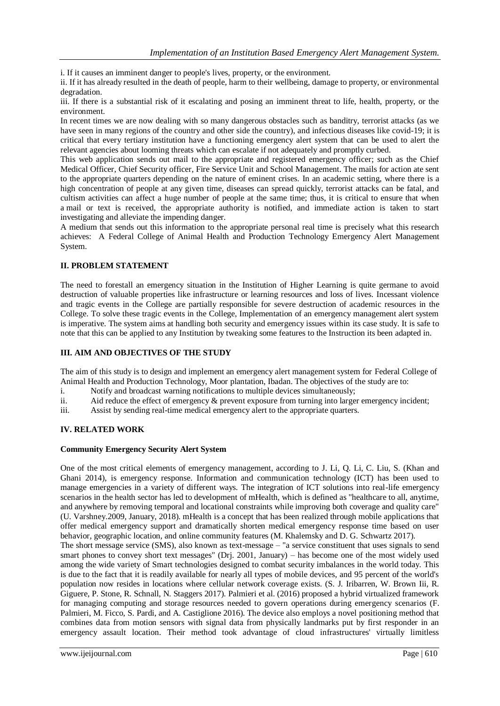i. If it causes an imminent danger to people's lives, property, or the environment.

ii. If it has already resulted in the death of people, harm to their wellbeing, damage to property, or environmental degradation.

iii. If there is a substantial risk of it escalating and posing an imminent threat to life, health, property, or the environment.

In recent times we are now dealing with so many dangerous obstacles such as banditry, terrorist attacks (as we have seen in many regions of the country and other side the country), and infectious diseases like covid-19; it is critical that every tertiary institution have a functioning emergency alert system that can be used to alert the relevant agencies about looming threats which can escalate if not adequately and promptly curbed.

This web application sends out mail to the appropriate and registered emergency officer; such as the Chief Medical Officer, Chief Security officer, Fire Service Unit and School Management. The mails for action ate sent to the appropriate quarters depending on the nature of eminent crises. In an academic setting, where there is a high concentration of people at any given time, diseases can spread quickly, terrorist attacks can be fatal, and cultism activities can affect a huge number of people at the same time; thus, it is critical to ensure that when a mail or text is received, the appropriate authority is notified, and immediate action is taken to start investigating and alleviate the impending danger.

A medium that sends out this information to the appropriate personal real time is precisely what this research achieves: A Federal College of Animal Health and Production Technology Emergency Alert Management System.

# **II. PROBLEM STATEMENT**

The need to forestall an emergency situation in the Institution of Higher Learning is quite germane to avoid destruction of valuable properties like infrastructure or learning resources and loss of lives. Incessant violence and tragic events in the College are partially responsible for severe destruction of academic resources in the College. To solve these tragic events in the College, Implementation of an emergency management alert system is imperative. The system aims at handling both security and emergency issues within its case study. It is safe to note that this can be applied to any Institution by tweaking some features to the Instruction its been adapted in.

# **III. AIM AND OBJECTIVES OF THE STUDY**

The aim of this study is to design and implement an emergency alert management system for Federal College of Animal Health and Production Technology, Moor plantation, Ibadan. The objectives of the study are to:

i. Notify and broadcast warning notifications to multiple devices simultaneously;

ii. Aid reduce the effect of emergency & prevent exposure from turning into larger emergency incident;

iii. Assist by sending real-time medical emergency alert to the appropriate quarters.

# **IV. RELATED WORK**

### **Community Emergency Security Alert System**

One of the most critical elements of emergency management, according to J. Li, Q. Li, C. Liu, S. (Khan and Ghani 2014), is emergency response. Information and communication technology (ICT) has been used to manage emergencies in a variety of different ways. The integration of ICT solutions into real-life emergency scenarios in the health sector has led to development of mHealth, which is defined as "healthcare to all, anytime, and anywhere by removing temporal and locational constraints while improving both coverage and quality care" (U. Varshney.2009, January, 2018). mHealth is a concept that has been realized through mobile applications that offer medical emergency support and dramatically shorten medical emergency response time based on user behavior, geographic location, and online community features (M. Khalemsky and D. G. Schwartz 2017).

The short message service (SMS), also known as text-message – "a service constituent that uses signals to send smart phones to convey short text messages" (Drj. 2001, January) – has become one of the most widely used among the wide variety of Smart technologies designed to combat security imbalances in the world today. This is due to the fact that it is readily available for nearly all types of mobile devices, and 95 percent of the world's population now resides in locations where cellular network coverage exists. (S. J. Iribarren, W. Brown Iii, R. Giguere, P. Stone, R. Schnall, N. Staggers 2017). Palmieri et al. (2016) proposed a hybrid virtualized framework for managing computing and storage resources needed to govern operations during emergency scenarios (F. Palmieri, M. Ficco, S. Pardi, and A. Castiglione 2016). The device also employs a novel positioning method that combines data from motion sensors with signal data from physically landmarks put by first responder in an emergency assault location. Their method took advantage of cloud infrastructures' virtually limitless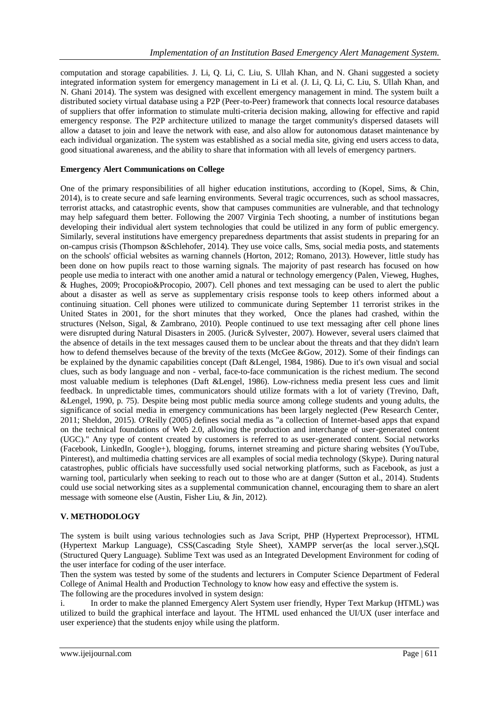computation and storage capabilities. J. Li, Q. Li, C. Liu, S. Ullah Khan, and N. Ghani suggested a society integrated information system for emergency management in Li et al. (J. Li, Q. Li, C. Liu, S. Ullah Khan, and N. Ghani 2014). The system was designed with excellent emergency management in mind. The system built a distributed society virtual database using a P2P (Peer-to-Peer) framework that connects local resource databases of suppliers that offer information to stimulate multi-criteria decision making, allowing for effective and rapid emergency response. The P2P architecture utilized to manage the target community's dispersed datasets will allow a dataset to join and leave the network with ease, and also allow for autonomous dataset maintenance by each individual organization. The system was established as a social media site, giving end users access to data, good situational awareness, and the ability to share that information with all levels of emergency partners.

# **Emergency Alert Communications on College**

One of the primary responsibilities of all higher education institutions, according to (Kopel, Sims, & Chin, 2014), is to create secure and safe learning environments. Several tragic occurrences, such as school massacres, terrorist attacks, and catastrophic events, show that campuses communities are vulnerable, and that technology may help safeguard them better. Following the 2007 Virginia Tech shooting, a number of institutions began developing their individual alert system technologies that could be utilized in any form of public emergency. Similarly, several institutions have emergency preparedness departments that assist students in preparing for an on-campus crisis (Thompson &Schlehofer, 2014). They use voice calls, Sms, social media posts, and statements on the schools' official websites as warning channels (Horton, 2012; Romano, 2013). However, little study has been done on how pupils react to those warning signals. The majority of past research has focused on how people use media to interact with one another amid a natural or technology emergency (Palen, Vieweg, Hughes, & Hughes, 2009; Procopio&Procopio, 2007). Cell phones and text messaging can be used to alert the public about a disaster as well as serve as supplementary crisis response tools to keep others informed about a continuing situation. Cell phones were utilized to communicate during September 11 terrorist strikes in the United States in 2001, for the short minutes that they worked, Once the planes had crashed, within the structures (Nelson, Sigal, & Zambrano, 2010). People continued to use text messaging after cell phone lines were disrupted during Natural Disasters in 2005. (Juric& Sylvester, 2007). However, several users claimed that the absence of details in the text messages caused them to be unclear about the threats and that they didn't learn how to defend themselves because of the brevity of the texts (McGee &Gow, 2012). Some of their findings can be explained by the dynamic capabilities concept (Daft &Lengel, 1984, 1986). Due to it's own visual and social clues, such as body language and non - verbal, face-to-face communication is the richest medium. The second most valuable medium is telephones (Daft &Lengel, 1986). Low-richness media present less cues and limit feedback. In unpredictable times, communicators should utilize formats with a lot of variety (Trevino, Daft, &Lengel, 1990, p. 75). Despite being most public media source among college students and young adults, the significance of social media in emergency communications has been largely neglected (Pew Research Center, 2011; Sheldon, 2015). O'Reilly (2005) defines social media as "a collection of Internet-based apps that expand on the technical foundations of Web 2.0, allowing the production and interchange of user-generated content (UGC)." Any type of content created by customers is referred to as user-generated content. Social networks (Facebook, LinkedIn, Google+), blogging, forums, internet streaming and picture sharing websites (YouTube, Pinterest), and multimedia chatting services are all examples of social media technology (Skype). During natural catastrophes, public officials have successfully used social networking platforms, such as Facebook, as just a warning tool, particularly when seeking to reach out to those who are at danger (Sutton et al., 2014). Students could use social networking sites as a supplemental communication channel, encouraging them to share an alert message with someone else (Austin, Fisher Liu, & Jin, 2012).

# **V. METHODOLOGY**

The system is built using various technologies such as Java Script, PHP (Hypertext Preprocessor), HTML (Hypertext Markup Language), CSS(Cascading Style Sheet), XAMPP server(as the local server.),SQL (Structured Query Language). Sublime Text was used as an Integrated Development Environment for coding of the user interface for coding of the user interface.

Then the system was tested by some of the students and lecturers in Computer Science Department of Federal College of Animal Health and Production Technology to know how easy and effective the system is.

The following are the procedures involved in system design:

i. In order to make the planned Emergency Alert System user friendly, Hyper Text Markup (HTML) was utilized to build the graphical interface and layout. The HTML used enhanced the UI/UX (user interface and user experience) that the students enjoy while using the platform.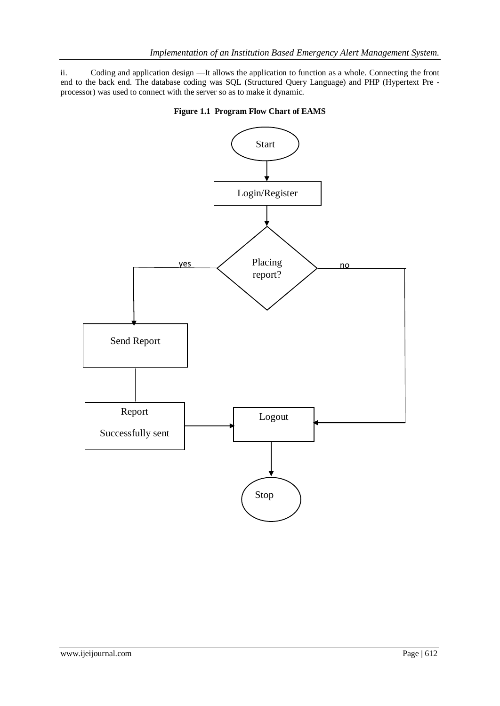ii. Coding and application design —It allows the application to function as a whole. Connecting the front end to the back end. The database coding was SQL (Structured Query Language) and PHP (Hypertext Pre processor) was used to connect with the server so as to make it dynamic.



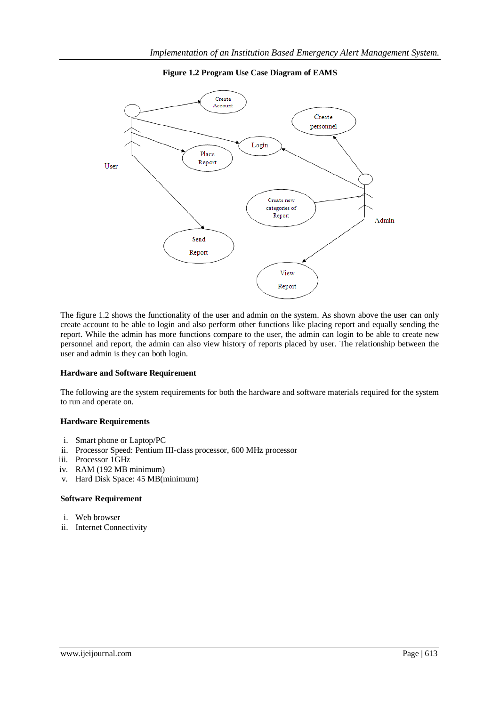### **Figure 1.2 Program Use Case Diagram of EAMS**



The figure 1.2 shows the functionality of the user and admin on the system. As shown above the user can only create account to be able to login and also perform other functions like placing report and equally sending the report. While the admin has more functions compare to the user, the admin can login to be able to create new personnel and report, the admin can also view history of reports placed by user. The relationship between the user and admin is they can both login.

#### **Hardware and Software Requirement**

The following are the system requirements for both the hardware and software materials required for the system to run and operate on.

#### **Hardware Requirements**

- i. Smart phone or Laptop/PC
- ii. Processor Speed: Pentium III-class processor, 600 MHz processor
- iii. Processor 1GHz
- iv. RAM (192 MB minimum)
- v. Hard Disk Space: 45 MB(minimum)

#### **Software Requirement**

- i. Web browser
- ii. Internet Connectivity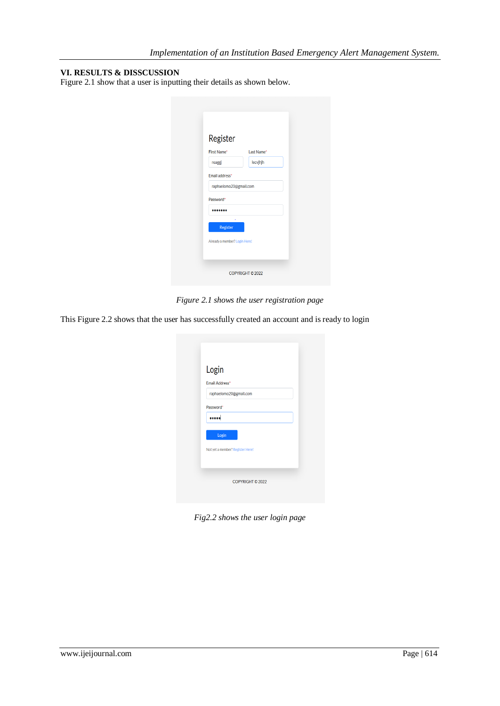# **VI. RESULTS & DISSCUSSION**

Figure 2.1 show that a user is inputting their details as shown below.

| Register                      |            |
|-------------------------------|------------|
| First Name*                   | Last Name* |
| reaggj                        | lecvjhjh   |
| Email address*                |            |
| raphaelomo20@gmail.com        |            |
| Password*                     |            |
|                               |            |
| Register                      |            |
| Already a member? Login Here! |            |

*Figure 2.1 shows the user registration page*

This Figure 2.2 shows that the user has successfully created an account and is ready to login

| Login<br>Email Address* |                                  |  |  |
|-------------------------|----------------------------------|--|--|
|                         | raphaelomo20@gmail.com           |  |  |
| Password*               |                                  |  |  |
|                         |                                  |  |  |
| Login                   |                                  |  |  |
|                         | Not yet a member? Register Here! |  |  |
|                         |                                  |  |  |

*Fig2.2 shows the user login page*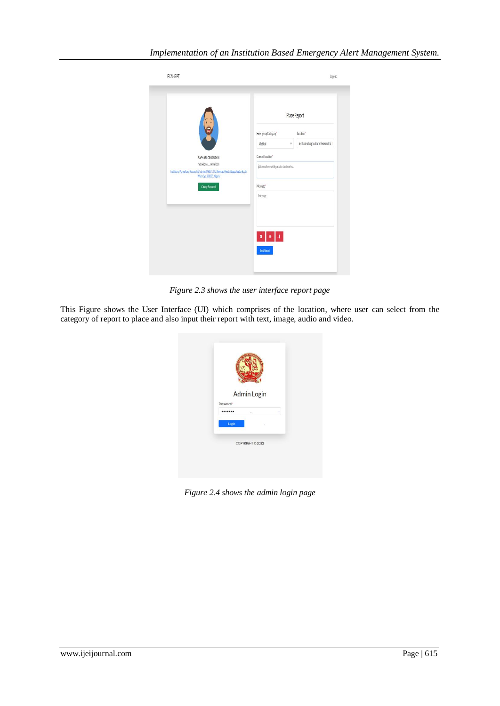|                                                                                                                                              | Place Report                                                                                                                                           |  |  |  |
|----------------------------------------------------------------------------------------------------------------------------------------------|--------------------------------------------------------------------------------------------------------------------------------------------------------|--|--|--|
| RAPHAEL OMONAYIN<br>raphaelomo_@gmail.com<br>Institute of Agricultural Research & Training (IAR&T), Old Abeolouta Road, Adeaga, Ibadan South | Emergency Category*<br>Location*<br>Institute of Agricultural Research & T<br>Medical<br>v<br>Current location"<br>Address here with popular landmarks |  |  |  |
| West, Oyo, 200253, Migeria<br>Change Password                                                                                                | Message <sup>®</sup><br>Message                                                                                                                        |  |  |  |
|                                                                                                                                              |                                                                                                                                                        |  |  |  |

*Figure 2.3 shows the user interface report page*

This Figure shows the User Interface (UI) which comprises of the location, where user can select from the category of report to place and also input their report with text, image, audio and video.



*Figure 2.4 shows the admin login page*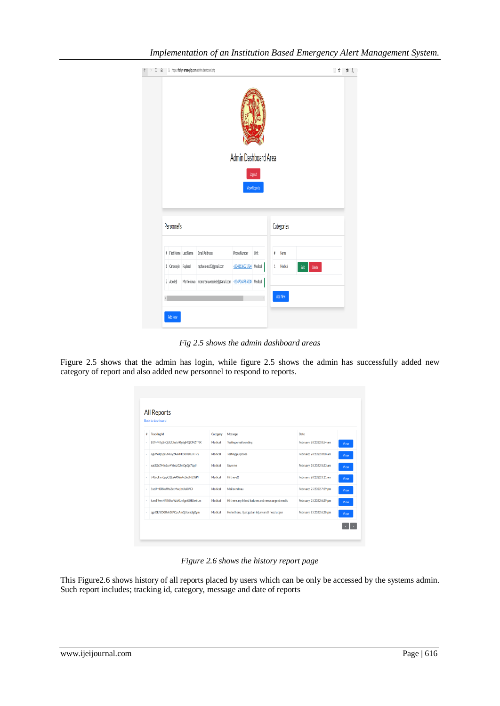|  |                    | $\leftarrow$ $\rightarrow$ 0 $\Omega$ $\rightarrow$ 1 https://frahpt-emas.epicy.com/admin/dashboard.php |                        |                     |   |            |                 | $\parallel \uparrow \parallel \uparrow \parallel$ |
|--|--------------------|---------------------------------------------------------------------------------------------------------|------------------------|---------------------|---|------------|-----------------|---------------------------------------------------|
|  |                    |                                                                                                         | Admin Dashboard Area   |                     |   |            |                 |                                                   |
|  |                    |                                                                                                         |                        | Logout              |   |            |                 |                                                   |
|  |                    |                                                                                                         |                        | <b>View Reports</b> |   |            |                 |                                                   |
|  | Personnel's        |                                                                                                         |                        |                     |   | Categories |                 |                                                   |
|  |                    | # First Name Last Name Email Addresss                                                                   | Phone Number           | Unit                | ŧ | Name       |                 |                                                   |
|  | 1 Omonayin Raphael | raphaelomo20@gmail.com                                                                                  | +2348136071724 Medical |                     |   | 1 Medical  | Editi<br>Delete |                                                   |
|  |                    | 2 Adedeji Morifeoluwa momoreoluwaadedeji@gmail.com +2347063785030 Medical                               |                        |                     |   |            |                 |                                                   |
|  |                    |                                                                                                         |                        |                     |   | Add New    |                 |                                                   |
|  | <b>Add New</b>     |                                                                                                         |                        |                     |   |            |                 |                                                   |

*Implementation of an Institution Based Emergency Alert Management System.*

*Fig 2.5 shows the admin dashboard areas*

Figure 2.5 shows that the admin has login, while figure 2.5 shows the admin has successfully added new category of report and also added new personnel to respond to reports.

| ÷ | <b>Tracking Id</b>             | Category | Message                                            | Date                      |             |
|---|--------------------------------|----------|----------------------------------------------------|---------------------------|-------------|
|   | E0TvMKgSnQULTJbebh0g6gMQCMZTNX | Medical  | <b>Testing email sending</b>                       | February, 28 2022 8:54:am | View        |
|   | 6guWdgggeSMiuy2As9PK50Hs0uXTP2 | Medical  | <b>Testing purposes</b>                            | February, 28 2022 8:08:am | View        |
|   | xatSGsZMin1ur4YbazG2mOpQs7tqdh | Medical  | Save me                                            | February, 28 2022 5:33:am | View        |
|   | 74JaoFxnCppG1EaAXWn4c0edNB3SPF | Medical  | Hi there!!                                         | February, 28 2022 3:11:am | <b>View</b> |
|   | 5szUmISRkuffhsZetMecjbrJIa0VIO | Medical  | Mail send nau                                      | February, 25 2022 7:39:pm | View        |
|   | hzmT9vmH4INSvvWxKLmfgnkSHUw6Lm | Medical  | Hi there, my friend is down and needs urgent medic | February, 25 2022 6:39:pm | View        |
|   | zgnOkf6OGRvhStPCzeAmQUoraUgKym | Medical  | Hello there, I just got an injury and I need urgen | February, 25 2022 6:28:pm | View        |

*Figure 2.6 shows the history report page*

This Figure2.6 shows history of all reports placed by users which can be only be accessed by the systems admin. Such report includes; tracking id, category, message and date of reports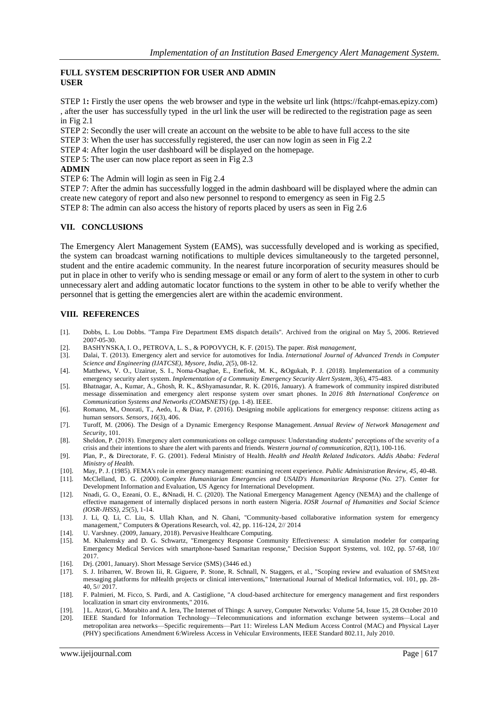## **FULL SYSTEM DESCRIPTION FOR USER AND ADMIN USER**

STEP 1**:** Firstly the user opens the web browser and type in the website url link [\(https://fcahpt-emas.epizy.com\)](https://fcahpt-emas.epizy.com/) , after the user has successfully typed in the url link the user will be redirected to the registration page as seen in Fig 2.1

STEP 2: Secondly the user will create an account on the website to be able to have full access to the site

STEP 3: When the user has successfully registered, the user can now login as seen in Fig 2.2

STEP 4: After login the user dashboard will be displayed on the homepage.

STEP 5: The user can now place report as seen in Fig 2.3

#### **ADMIN**

STEP 6: The Admin will login as seen in Fig 2.4

STEP 7: After the admin has successfully logged in the admin dashboard will be displayed where the admin can create new category of report and also new personnel to respond to emergency as seen in Fig 2.5 STEP 8: The admin can also access the history of reports placed by users as seen in Fig 2.6

### **VII. CONCLUSIONS**

The Emergency Alert Management System (EAMS), was successfully developed and is working as specified, the system can broadcast warning notifications to multiple devices simultaneously to the targeted personnel, student and the entire academic community. In the nearest future incorporation of security measures should be put in place in other to verify who is sending message or email or any form of alert to the system in other to curb unnecessary alert and adding automatic locator functions to the system in other to be able to verify whether the personnel that is getting the emergencies alert are within the academic environment.

### **VIII. REFERENCES**

- [1]. Dobbs, L. Lou Dobbs. "Tampa Fire Department EMS dispatch details". Archived from the original on May 5, 2006. Retrieved 2007-05-30.
- [2]. BASHYNSKA, I. O., PETROVA, L. S., & POPOVYCH, K. F. (2015). The paper. *Risk management*,
- [3]. Dalai, T. (2013). Emergency alert and service for automotives for India. *International Journal of Advanced Trends in Computer Science and Engineering (IJATCSE), Mysore, India*, *2*(5), 08-12.
- [4]. Matthews, V. O., Uzairue, S. I., Noma-Osaghae, E., Enefiok, M. K., &Ogukah, P. J. (2018). Implementation of a community emergency security alert system. *Implementation of a Community Emergency Security Alert System*, *3*(6), 475-483.
- [5]. Bhatnagar, A., Kumar, A., Ghosh, R. K., &Shyamasundar, R. K. (2016, January). A framework of community inspired distributed message dissemination and emergency alert response system over smart phones. In *2016 8th International Conference on Communication Systems and Networks (COMSNETS)* (pp. 1-8). IEEE.
- [6]. Romano, M., Onorati, T., Aedo, I., & Diaz, P. (2016). Designing mobile applications for emergency response: citizens acting as human sensors. *Sensors*, *16*(3), 406.
- [7]. Turoff, M. (2006). The Design of a Dynamic Emergency Response Management. *Annual Review of Network Management and Security*, 101.
- [8]. Sheldon, P. (2018). Emergency alert communications on college campuses: Understanding students' perceptions of the severity of a crisis and their intentions to share the alert with parents and friends. *Western journal of communication*, *82*(1), 100-116.
- [9]. Plan, P., & Directorate, F. G. (2001). Federal Ministry of Health. *Health and Health Related Indicators. Addis Ababa: Federal Ministry of Health*.
- [10]. May, P. J. (1985). FEMA's role in emergency management: examining recent experience. *Public Administration Review*, *45*, 40-48.
- [11]. McClelland, D. G. (2000). *Complex Humanitarian Emergencies and USAID's Humanitarian Response* (No. 27). Center for Development Information and Evaluation, US Agency for International Development.
- [12]. Nnadi, G. O., Ezeani, O. E., &Nnadi, H. C. (2020). The National Emergency Management Agency (NEMA) and the challenge of effective management of internally displaced persons in north eastern Nigeria. *IOSR Journal of Humanities and Social Science (IOSR-JHSS)*, *25*(5), 1-14.
- [13]. J. Li, Q. Li, C. Liu, S. Ullah Khan, and N. Ghani, "Community-based collaborative information system for emergency management," Computers & Operations Research, vol. 42, pp. 116-124, 2// 2014
- [14]. U. Varshney. (2009, January, 2018). Pervasive Healthcare Computing.
- [15]. M. Khalemsky and D. G. Schwartz, "Emergency Response Community Effectiveness: A simulation modeler for comparing Emergency Medical Services with smartphone-based Samaritan response," Decision Support Systems, vol. 102, pp. 57-68, 10// 2017.
- [16]. Drj. (2001, January). Short Message Service (SMS) (3446 ed.)
- [17]. S. J. Iribarren, W. Brown Iii, R. Giguere, P. Stone, R. Schnall, N. Staggers, et al., "Scoping review and evaluation of SMS/text messaging platforms for mHealth projects or clinical interventions," International Journal of Medical Informatics, vol. 101, pp. 28- 40, 5// 2017.
- [18]. F. Palmieri, M. Ficco, S. Pardi, and A. Castiglione, "A cloud-based architecture for emergency management and first responders localization in smart city environments," 2016.
- [19]. ] L. Atzori, G. Morabito and A. Iera, The Internet of Things: A survey, Computer Networks: Volume 54, Issue 15, 28 October 2010 [20]. IEEE Standard for Information Technology—Telecommunications and information exchange between systems—Local and metropolitan area networks—Specific requirements—Part 11: Wireless LAN Medium Access Control (MAC) and Physical Layer (PHY) specifications Amendment 6:Wireless Access in Vehicular Environments, IEEE Standard 802.11, July 2010.